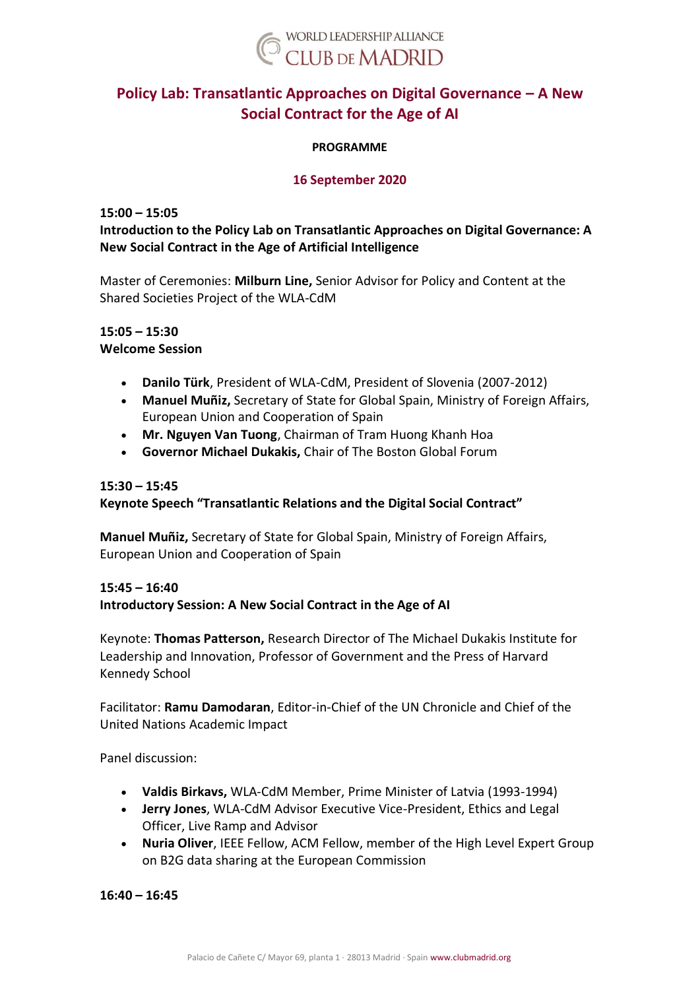

# **Policy Lab: Transatlantic Approaches on Digital Governance – A New Social Contract for the Age of AI**

### **PROGRAMME**

### **16 September 2020**

### **15:00 – 15:05**

# **Introduction to the Policy Lab on Transatlantic Approaches on Digital Governance: A New Social Contract in the Age of Artificial Intelligence**

Master of Ceremonies: **Milburn Line,** Senior Advisor for Policy and Content at the Shared Societies Project of the WLA-CdM

### **15:05 – 15:30 Welcome Session**

- **Danilo Türk**, President of WLA-CdM, President of Slovenia (2007-2012)
- **Manuel Muñiz,** Secretary of State for Global Spain, Ministry of Foreign Affairs, European Union and Cooperation of Spain
- **Mr. Nguyen Van Tuong**, Chairman of Tram Huong Khanh Hoa
- **Governor Michael Dukakis,** Chair of The Boston Global Forum

### **15:30 – 15:45**

### **Keynote Speech "Transatlantic Relations and the Digital Social Contract"**

**Manuel Muñiz,** Secretary of State for Global Spain, Ministry of Foreign Affairs, European Union and Cooperation of Spain

# **15:45 – 16:40**

### **Introductory Session: A New Social Contract in the Age of AI**

Keynote: **Thomas Patterson,** Research Director of The Michael Dukakis Institute for Leadership and Innovation, Professor of Government and the Press of Harvard Kennedy School

Facilitator: **Ramu Damodaran**, Editor-in-Chief of the UN Chronicle and Chief of the United Nations Academic Impact

Panel discussion:

- **Valdis Birkavs,** WLA-CdM Member, Prime Minister of Latvia (1993-1994)
- **Jerry Jones**, WLA-CdM Advisor Executive Vice-President, Ethics and Legal Officer, Live Ramp and Advisor
- **Nuria Oliver**, IEEE Fellow, ACM Fellow, member of the High Level Expert Group on B2G data sharing at the European Commission

**16:40 – 16:45**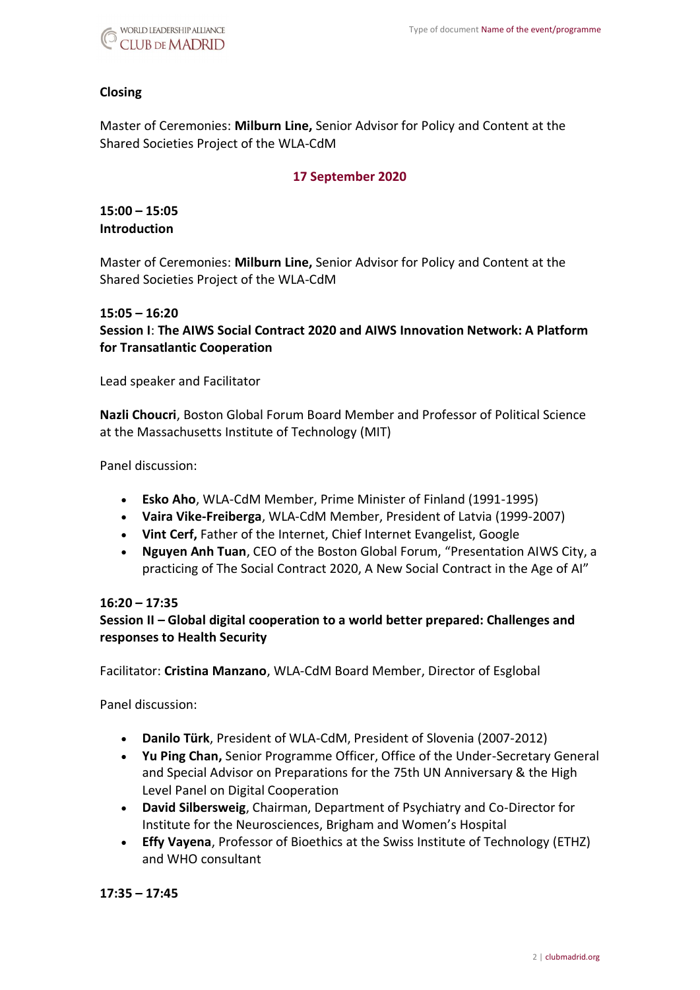

### **Closing**

Master of Ceremonies: **Milburn Line,** Senior Advisor for Policy and Content at the Shared Societies Project of the WLA-CdM

### **17 September 2020**

**15:00 – 15:05 Introduction** 

Master of Ceremonies: **Milburn Line,** Senior Advisor for Policy and Content at the Shared Societies Project of the WLA-CdM

#### **15:05 – 16:20**

**Session I**: **The AIWS Social Contract 2020 and AIWS Innovation Network: A Platform for Transatlantic Cooperation**

Lead speaker and Facilitator

**Nazli Choucri**, Boston Global Forum Board Member and Professor of Political Science at the Massachusetts Institute of Technology (MIT)

Panel discussion:

- **Esko Aho**, WLA-CdM Member, Prime Minister of Finland (1991-1995)
- **Vaira Vike-Freiberga**, WLA-CdM Member, President of Latvia (1999-2007)
- **Vint Cerf,** Father of the Internet, Chief Internet Evangelist, Google
- **Nguyen Anh Tuan**, CEO of the Boston Global Forum, "Presentation AIWS City, a practicing of The Social Contract 2020, A New Social Contract in the Age of AI"

#### **16:20 – 17:35**

### **Session II – Global digital cooperation to a world better prepared: Challenges and responses to Health Security**

Facilitator: **Cristina Manzano**, WLA-CdM Board Member, Director of Esglobal

Panel discussion:

- **Danilo Türk**, President of WLA-CdM, President of Slovenia (2007-2012)
- **Yu Ping Chan,** Senior Programme Officer, Office of the Under-Secretary General and Special Advisor on Preparations for the 75th UN Anniversary & the High Level Panel on Digital Cooperation
- **David Silbersweig**, Chairman, Department of Psychiatry and Co-Director for Institute for the Neurosciences, Brigham and Women's Hospital
- **Effy Vayena**, Professor of Bioethics at the Swiss Institute of Technology (ETHZ) and WHO consultant

**17:35 – 17:45**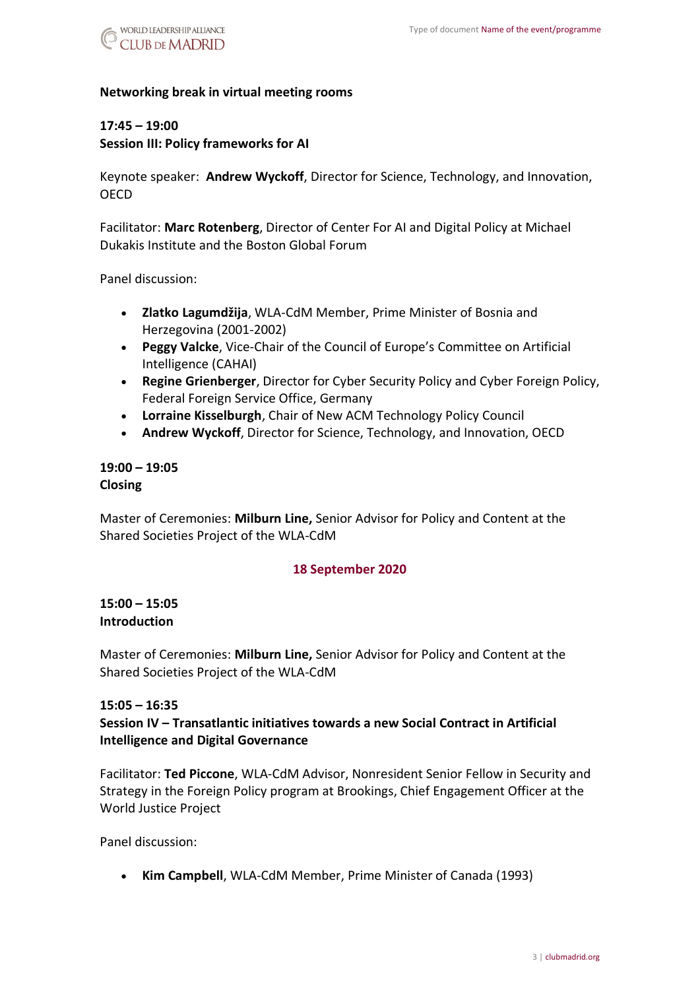

### **Networking break in virtual meeting rooms**

### **17:45 – 19:00**

**Session III: Policy frameworks for AI**

Keynote speaker: **Andrew Wyckoff**, Director for Science, Technology, and Innovation, **OECD** 

Facilitator: **Marc Rotenberg**, Director of Center For AI and Digital Policy at Michael Dukakis Institute and the Boston Global Forum

Panel discussion:

- **Zlatko Lagumdžija**, WLA-CdM Member, Prime Minister of Bosnia and Herzegovina (2001-2002)
- **Peggy Valcke**, Vice-Chair of the Council of Europe's Committee on Artificial Intelligence (CAHAI)
- **Regine Grienberger**, Director for Cyber Security Policy and Cyber Foreign Policy, Federal Foreign Service Office, Germany
- **Lorraine Kisselburgh**, Chair of New ACM Technology Policy Council
- **Andrew Wyckoff**, Director for Science, Technology, and Innovation, OECD

### **19:00 – 19:05 Closing**

Master of Ceremonies: **Milburn Line,** Senior Advisor for Policy and Content at the Shared Societies Project of the WLA-CdM

### **18 September 2020**

### **15:00 – 15:05 Introduction**

Master of Ceremonies: **Milburn Line,** Senior Advisor for Policy and Content at the Shared Societies Project of the WLA-CdM

### **15:05 – 16:35**

**Session IV – Transatlantic initiatives towards a new Social Contract in Artificial Intelligence and Digital Governance**

Facilitator: **Ted Piccone**, WLA-CdM Advisor, Nonresident Senior Fellow in Security and Strategy in the Foreign Policy program at Brookings, Chief Engagement Officer at the World Justice Project

Panel discussion:

• **Kim Campbell**, WLA-CdM Member, Prime Minister of Canada (1993)